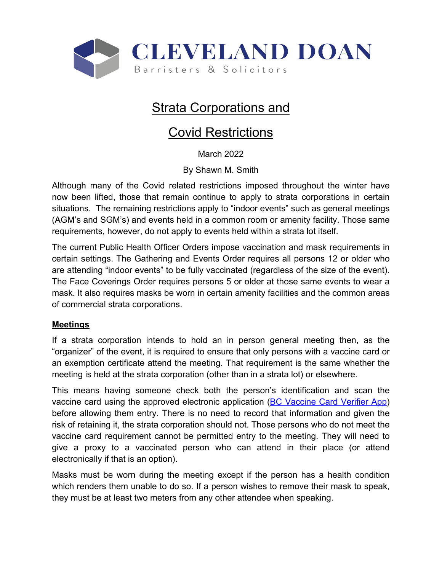

# **Strata Corporations and**

# Covid Restrictions

March 2022

By Shawn M. Smith

Although many of the Covid related restrictions imposed throughout the winter have now been lifted, those that remain continue to apply to strata corporations in certain situations. The remaining restrictions apply to "indoor events" such as general meetings (AGM's and SGM's) and events held in a common room or amenity facility. Those same requirements, however, do not apply to events held within a strata lot itself.

The current Public Health Officer Orders impose vaccination and mask requirements in certain settings. The Gathering and Events Order requires all persons 12 or older who are attending "indoor events" to be fully vaccinated (regardless of the size of the event). The Face Coverings Order requires persons 5 or older at those same events to wear a mask. It also requires masks be worn in certain amenity facilities and the common areas of commercial strata corporations.

#### **Meetings**

If a strata corporation intends to hold an in person general meeting then, as the "organizer" of the event, it is required to ensure that only persons with a vaccine card or an exemption certificate attend the meeting. That requirement is the same whether the meeting is held at the strata corporation (other than in a strata lot) or elsewhere.

This means having someone check both the person's identification and scan the vaccine card using the approved electronic application (BC Vaccine Card Verifier App) before allowing them entry. There is no need to record that information and given the risk of retaining it, the strata corporation should not. Those persons who do not meet the vaccine card requirement cannot be permitted entry to the meeting. They will need to give a proxy to a vaccinated person who can attend in their place (or attend electronically if that is an option).

Masks must be worn during the meeting except if the person has a health condition which renders them unable to do so. If a person wishes to remove their mask to speak, they must be at least two meters from any other attendee when speaking.